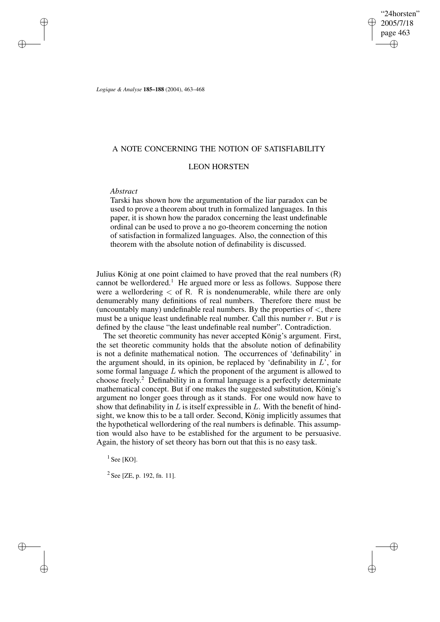"24horsten" 2005/7/18 page 463 ✐ ✐

✐

✐

*Logique & Analyse* **185–188** (2004), 463–468

### A NOTE CONCERNING THE NOTION OF SATISFIABILITY

# LEON HORSTEN

## *Abstract*

✐

✐

✐

✐

Tarski has shown how the argumentation of the liar paradox can be used to prove a theorem about truth in formalized languages. In this paper, it is shown how the paradox concerning the least undefinable ordinal can be used to prove a no go-theorem concerning the notion of satisfaction in formalized languages. Also, the connection of this theorem with the absolute notion of definability is discussed.

Julius König at one point claimed to have proved that the real numbers (R) cannot be wellordered.<sup>1</sup> He argued more or less as follows. Suppose there were a wellordering  $\epsilon$  of R. R is nondenumerable, while there are only denumerably many definitions of real numbers. Therefore there must be (uncountably many) undefinable real numbers. By the properties of  $\lt$ , there must be a unique least undefinable real number. Call this number  $r$ . But  $r$  is defined by the clause "the least undefinable real number". Contradiction.

The set theoretic community has never accepted König's argument. First, the set theoretic community holds that the absolute notion of definability is not a definite mathematical notion. The occurrences of 'definability' in the argument should, in its opinion, be replaced by 'definability in  $L$ ', for some formal language  $L$  which the proponent of the argument is allowed to choose freely. <sup>2</sup> Definability in a formal language is a perfectly determinate mathematical concept. But if one makes the suggested substitution, König's argument no longer goes through as it stands. For one would now have to show that definability in  $L$  is itself expressible in  $L$ . With the benefit of hindsight, we know this to be a tall order. Second, König implicitly assumes that the hypothetical wellordering of the real numbers is definable. This assumption would also have to be established for the argument to be persuasive. Again, the history of set theory has born out that this is no easy task.

 $<sup>1</sup>$  See [KO].</sup>

 $2$  See [ZE, p. 192, fn. 11].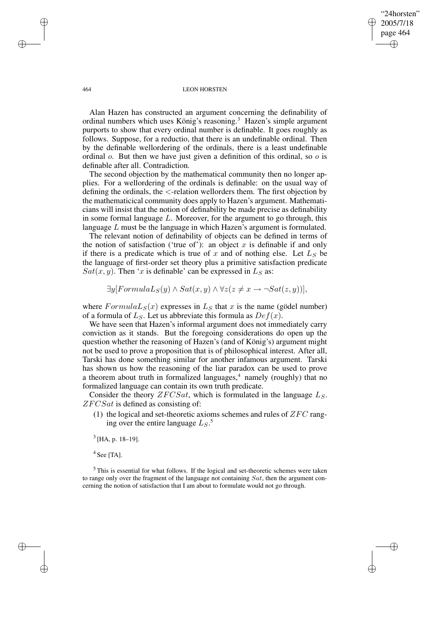"24horsten" 2005/7/18 page 464 ✐ ✐

✐

✐

#### 464 LEON HORSTEN

Alan Hazen has constructed an argument concerning the definability of ordinal numbers which uses König's reasoning.<sup>3</sup> Hazen's simple argument purports to show that every ordinal number is definable. It goes roughly as follows. Suppose, for a reductio, that there is an undefinable ordinal. Then by the definable wellordering of the ordinals, there is a least undefinable ordinal o. But then we have just given a definition of this ordinal, so o is definable after all. Contradiction.

The second objection by the mathematical community then no longer applies. For a wellordering of the ordinals is definable: on the usual way of defining the ordinals, the <-relation wellorders them. The first objection by the mathematicical community does apply to Hazen's argument. Mathematicians will insist that the notion of definability be made precise as definability in some formal language L. Moreover, for the argument to go through, this language L must be the language in which Hazen's argument is formulated.

The relevant notion of definability of objects can be defined in terms of the notion of satisfaction ('true of'): an object  $x$  is definable if and only if there is a predicate which is true of  $x$  and of nothing else. Let  $L<sub>S</sub>$  be the language of first-order set theory plus a primitive satisfaction predicate  $Sat(x, y)$ . Then 'x is definable' can be expressed in  $L_S$  as:

$$
\exists y [FormulaL_S(y) \land Sat(x, y) \land \forall z (z \neq x \rightarrow \neg Sat(z, y))],
$$

where  $FormulaL_S(x)$  expresses in  $L_S$  that x is the name (gödel number) of a formula of  $L<sub>S</sub>$ . Let us abbreviate this formula as  $Def(x)$ .

We have seen that Hazen's informal argument does not immediately carry conviction as it stands. But the foregoing considerations do open up the question whether the reasoning of Hazen's (and of König's) argument might not be used to prove a proposition that is of philosophical interest. After all, Tarski has done something similar for another infamous argument. Tarski has shown us how the reasoning of the liar paradox can be used to prove a theorem about truth in formalized languages, $4$  namely (roughly) that no formalized language can contain its own truth predicate.

Consider the theory  $ZFCSat$ , which is formulated in the language  $L<sub>S</sub>$ .  $ZFCSat$  is defined as consisting of:

(1) the logical and set-theoretic axioms schemes and rules of  $ZFC$  ranging over the entire language  $L_S$ .<sup>5</sup>

 $<sup>3</sup>$  [HA, p. 18–19].</sup>

 $4$  See [TA].

✐

✐

 $<sup>5</sup>$  This is essential for what follows. If the logical and set-theoretic schemes were taken</sup> to range only over the fragment of the language not containing  $Sat$ , then the argument concerning the notion of satisfaction that I am about to formulate would not go through.

✐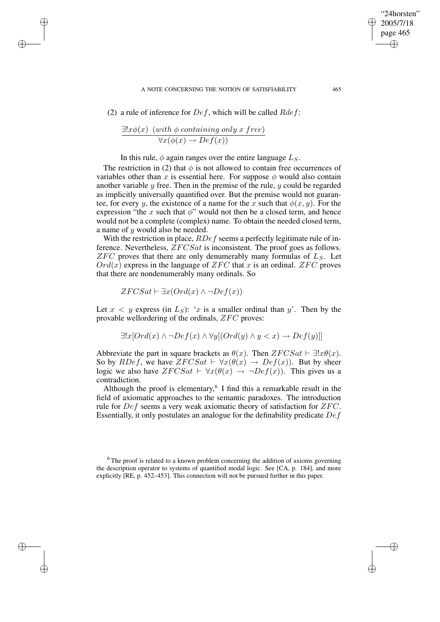#### A NOTE CONCERNING THE NOTION OF SATISFIABILITY 465

(2) a rule of inference for  $Def$ , which will be called  $Rdef$ :

$$
\frac{\exists! x \phi(x) \ (with \ \phi \ containing \ only \ x \ free)}{\forall x (\phi(x) \ \rightarrow \ Def(x))}
$$

✐

✐

✐

✐

In this rule,  $\phi$  again ranges over the entire language  $L_S$ .

The restriction in (2) that  $\phi$  is not allowed to contain free occurrences of variables other than x is essential here. For suppose  $\phi$  would also contain another variable  $y$  free. Then in the premise of the rule,  $y$  could be regarded as implicitly universally quantified over. But the premise would not guarantee, for every y, the existence of a name for the x such that  $\phi(x, y)$ . For the expression "the x such that  $\phi$ " would not then be a closed term, and hence would not be a complete (complex) name. To obtain the needed closed term, a name of  $y$  would also be needed.

With the restriction in place,  $RDef$  seems a perfectly legitimate rule of inference. Nevertheless,  $ZFCSat$  is inconsistent. The proof goes as follows.  $ZFC$  proves that there are only denumerably many formulas of  $L_S$ . Let  $Ord(x)$  express in the language of  $ZFC$  that x is an ordinal.  $ZFC$  proves that there are nondenumerably many ordinals. So

$$
ZFCSat \vdash \exists x (Ord(x) \land \neg Def(x))
$$

Let  $x < y$  express (in  $L<sub>S</sub>$ ): 'x is a smaller ordinal than y'. Then by the provable wellordering of the ordinals, ZFC proves:

$$
\exists! x[Ord(x) \land \neg Def(x) \land \forall y[(Ord(y) \land y < x) \to Def(y)]]
$$

Abbreviate the part in square brackets as  $\theta(x)$ . Then  $ZFCSat \vdash \exists !x\theta(x)$ . So by RDef, we have  $ZFCSat \vdash \forall x(\theta(x) \rightarrow Def(x))$ . But by sheer logic we also have  $ZFCSat \vdash \forall x(\theta(x) \rightarrow \neg Def(x))$ . This gives us a contradiction.

Although the proof is elementary, 6 I find this a remarkable result in the field of axiomatic approaches to the semantic paradoxes. The introduction rule for  $Def$  seems a very weak axiomatic theory of satisfaction for  $ZFC$ . Essentially, it only postulates an analogue for the definability predicate Def

<sup>6</sup>The proof is related to a known problem concerning the addition of axioms governing the description operator to systems of quantified modal logic. See [CA, p. 184], and more explicitly [RE, p. 452–453]. This connection will not be pursued further in this paper.

"24horsten" 2005/7/18 page 465

✐

✐

✐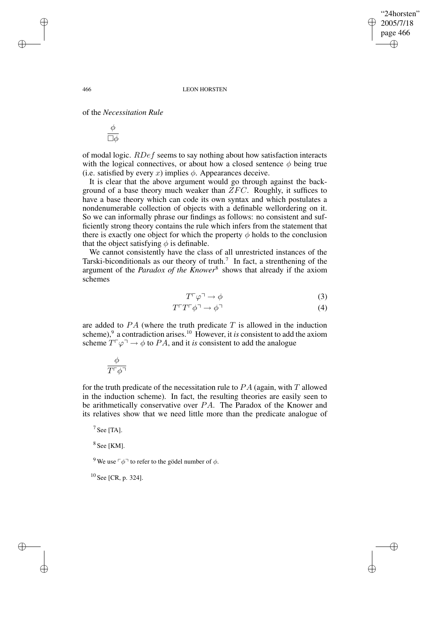466 LEON HORSTEN

of the *Necessitation Rule*

$$
\frac{\phi}{\Box \phi}
$$

of modal logic. RDef seems to say nothing about how satisfaction interacts with the logical connectives, or about how a closed sentence  $\phi$  being true (i.e. satisfied by every  $x$ ) implies  $\phi$ . Appearances deceive.

It is clear that the above argument would go through against the background of a base theory much weaker than  $ZFC$ . Roughly, it suffices to have a base theory which can code its own syntax and which postulates a nondenumerable collection of objects with a definable wellordering on it. So we can informally phrase our findings as follows: no consistent and sufficiently strong theory contains the rule which infers from the statement that there is exactly one object for which the property  $\phi$  holds to the conclusion that the object satisfying  $\phi$  is definable.

We cannot consistently have the class of all unrestricted instances of the Tarski-biconditionals as our theory of truth.<sup>7</sup> In fact, a strenthening of the argument of the *Paradox of the Knower*<sup>8</sup> shows that already if the axiom schemes

$$
T^{\Gamma}\varphi^{\Gamma} \to \phi \tag{3}
$$

"24horsten" 2005/7/18 page 466

✐

✐

✐

✐

$$
T^{\top}T^{\top}\phi^{\top} \to \phi^{\top} \tag{4}
$$

are added to  $PA$  (where the truth predicate  $T$  is allowed in the induction scheme),<sup>9</sup> a contradiction arises.<sup>10</sup> However, it *is* consistent to add the axiom scheme  $T^{\dagger} \varphi \rightarrow \varphi$  to *PA*, and it *is* consistent to add the analogue

$$
\frac{\phi}{T^{\sqcap}\phi^{\sqcap}}
$$

for the truth predicate of the necessitation rule to  $PA$  (again, with T allowed in the induction scheme). In fact, the resulting theories are easily seen to be arithmetically conservative over PA. The Paradox of the Knower and its relatives show that we need little more than the predicate analogue of

 $<sup>7</sup>$  See [TA].</sup>

 $8$  See [KM].

<sup>9</sup> We use  $\lceil \phi \rceil$  to refer to the gödel number of  $\phi$ .

 $10$  See [CR, p. 324].

✐

✐

✐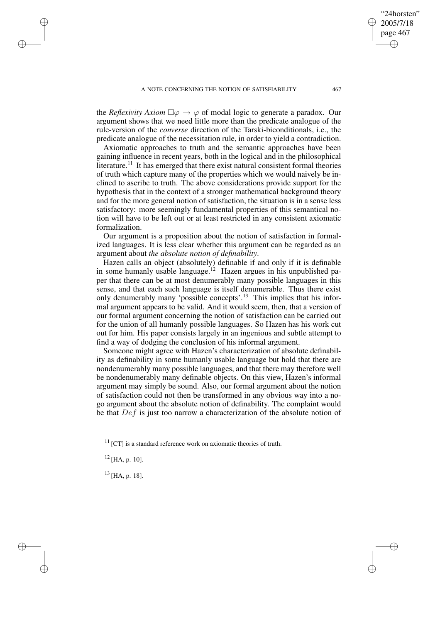the *Reflexivity Axiom*  $\square \varphi \rightarrow \varphi$  of modal logic to generate a paradox. Our argument shows that we need little more than the predicate analogue of the rule-version of the *converse* direction of the Tarski-biconditionals, i.e., the predicate analogue of the necessitation rule, in order to yield a contradiction.

Axiomatic approaches to truth and the semantic approaches have been gaining influence in recent years, both in the logical and in the philosophical literature.<sup>11</sup> It has emerged that there exist natural consistent formal theories of truth which capture many of the properties which we would naively be inclined to ascribe to truth. The above considerations provide support for the hypothesis that in the context of a stronger mathematical background theory and for the more general notion of satisfaction, the situation is in a sense less satisfactory: more seemingly fundamental properties of this semantical notion will have to be left out or at least restricted in any consistent axiomatic formalization.

Our argument is a proposition about the notion of satisfaction in formalized languages. It is less clear whether this argument can be regarded as an argument about *the absolute notion of definability*.

Hazen calls an object (absolutely) definable if and only if it is definable in some humanly usable language.<sup>12</sup> Hazen argues in his unpublished paper that there can be at most denumerably many possible languages in this sense, and that each such language is itself denumerable. Thus there exist only denumerably many 'possible concepts'.<sup>13</sup> This implies that his informal argument appears to be valid. And it would seem, then, that a version of our formal argument concerning the notion of satisfaction can be carried out for the union of all humanly possible languages. So Hazen has his work cut out for him. His paper consists largely in an ingenious and subtle attempt to find a way of dodging the conclusion of his informal argument.

Someone might agree with Hazen's characterization of absolute definability as definability in some humanly usable language but hold that there are nondenumerably many possible languages, and that there may therefore well be nondenumerably many definable objects. On this view, Hazen's informal argument may simply be sound. Also, our formal argument about the notion of satisfaction could not then be transformed in any obvious way into a nogo argument about the absolute notion of definability. The complaint would be that  $Def$  is just too narrow a characterization of the absolute notion of

 $11$  [CT] is a standard reference work on axiomatic theories of truth.

 $12$  [HA, p. 10].

✐

✐

✐

✐

 $13$  [HA, p. 18].

"24horsten" 2005/7/18 page 467

✐

✐

✐